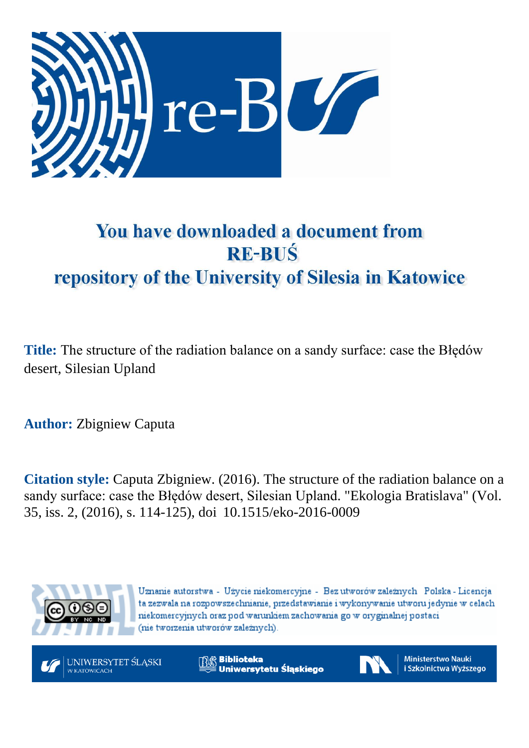

# You have downloaded a document from **RE-BUŚ** repository of the University of Silesia in Katowice

**Title:** The structure of the radiation balance on a sandy surface: case the Błędów desert, Silesian Upland

**Author:** Zbigniew Caputa

**Citation style:** Caputa Zbigniew. (2016). The structure of the radiation balance on a sandy surface: case the Błędów desert, Silesian Upland. "Ekologia [Bratislava"](https://www.scopus.com/sourceid/14607?origin=recordpage) (Vol. 35, iss. 2, (2016), s. 114-125), doi 10.1515/eko-2016-0009



Uznanie autorstwa - Użycie niekomercyjne - Bez utworów zależnych Polska - Licencja ta zezwala na rozpowszechnianie, przedstawianie i wykonywanie utworu jedynie w celach niekomercyjnych oraz pod warunkiem zachowania go w oryginalnej postaci (nie tworzenia utworów zależnych).



**Biblioteka** Uniwersytetu Śląskiego



**Ministerstwo Nauki** i Szkolnictwa Wyższego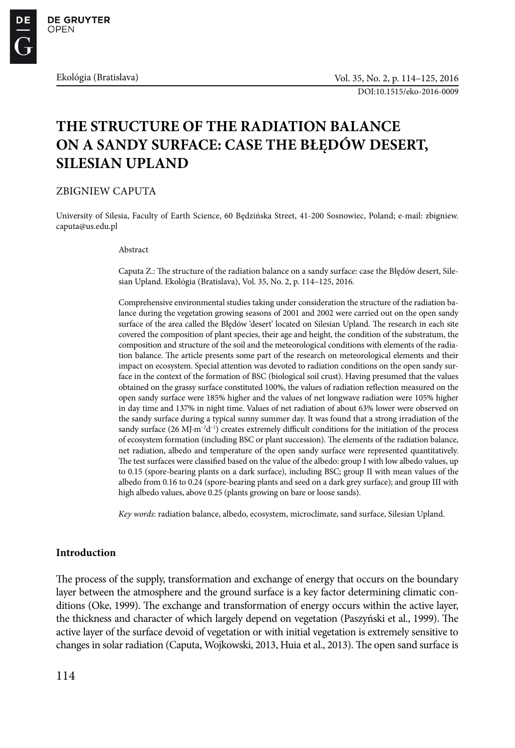DOI:10.1515/eko-2016-0009

# **THE STRUCTURE OF THE RADIATION BALANCE ON A SANDY SURFACE: CASE THE BŁĘDÓW DESERT, SILESIAN UPLAND**

ZBIGNIEW CAPUTA

University of Silesia, Faculty of Earth Science, 60 Będzińska Street, 41-200 Sosnowiec, Poland; e-mail: zbigniew. caputa@us.edu.pl

Abstract

Caputa Z.: The structure of the radiation balance on a sandy surface: case the Błędów desert, Silesian Upland. Ekológia (Bratislava), Vol. 35, No. 2, p. 114–125, 2016.

Comprehensive environmental studies taking under consideration the structure of the radiation balance during the vegetation growing seasons of 2001 and 2002 were carried out on the open sandy surface of the area called the Błędów 'desert' located on Silesian Upland. The research in each site covered the composition of plant species, their age and height, the condition of the substratum, the composition and structure of the soil and the meteorological conditions with elements of the radiation balance. The article presents some part of the research on meteorological elements and their impact on ecosystem. Special attention was devoted to radiation conditions on the open sandy surface in the context of the formation of BSC (biological soil crust). Having presumed that the values obtained on the grassy surface constituted 100%, the values of radiation reflection measured on the open sandy surface were 185% higher and the values of net longwave radiation were 105% higher in day time and 137% in night time. Values of net radiation of about 63% lower were observed on the sandy surface during a typical sunny summer day. It was found that a strong irradiation of the sandy surface (26 MJ·m<sup>-2</sup>d<sup>-1</sup>) creates extremely difficult conditions for the initiation of the process of ecosystem formation (including BSC or plant succession). The elements of the radiation balance, net radiation, albedo and temperature of the open sandy surface were represented quantitatively. The test surfaces were classified based on the value of the albedo: group I with low albedo values, up to 0.15 (spore-bearing plants on a dark surface), including BSC; group II with mean values of the albedo from 0.16 to 0.24 (spore-bearing plants and seed on a dark grey surface); and group III with high albedo values, above 0.25 (plants growing on bare or loose sands).

*Key words*: radiation balance, albedo, ecosystem, microclimate, sand surface, Silesian Upland.

# **Introduction**

The process of the supply, transformation and exchange of energy that occurs on the boundary layer between the atmosphere and the ground surface is a key factor determining climatic conditions (Oke, 1999). The exchange and transformation of energy occurs within the active layer, the thickness and character of which largely depend on vegetation (Paszyński et al., 1999). The active layer of the surface devoid of vegetation or with initial vegetation is extremely sensitive to changes in solar radiation (Caputa, Wojkowski, 2013, Huia et al., 2013). The open sand surface is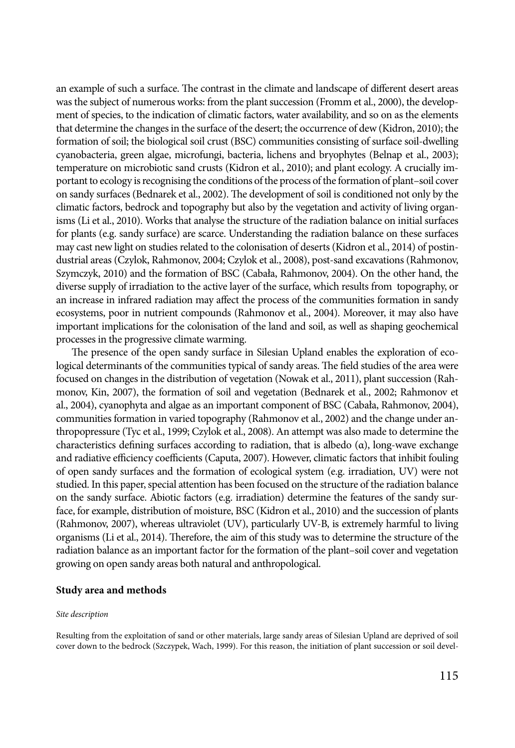an example of such a surface. The contrast in the climate and landscape of different desert areas was the subject of numerous works: from the plant succession (Fromm et al., 2000), the development of species, to the indication of climatic factors, water availability, and so on as the elements that determine the changes in the surface of the desert; the occurrence of dew (Kidron, 2010); the formation of soil; the biological soil crust (BSC) communities consisting of surface soil-dwelling cyanobacteria, green algae, microfungi, bacteria, lichens and bryophytes (Belnap et al., 2003); temperature on microbiotic sand crusts (Kidron et al., 2010); and plant ecology. A crucially important to ecology is recognising the conditions of the process of the formation of plant–soil cover on sandy surfaces (Bednarek et al., 2002). The development of soil is conditioned not only by the climatic factors, bedrock and topography but also by the vegetation and activity of living organisms (Li et al., 2010). Works that analyse the structure of the radiation balance on initial surfaces for plants (e.g. sandy surface) are scarce. Understanding the radiation balance on these surfaces may cast new light on studies related to the colonisation of deserts (Kidron et al., 2014) of postindustrial areas (Czylok, Rahmonov, 2004; Czylok et al., 2008), post-sand excavations (Rahmonov, Szymczyk, 2010) and the formation of BSC (Cabała, Rahmonov, 2004). On the other hand, the diverse supply of irradiation to the active layer of the surface, which results from topography, or an increase in infrared radiation may affect the process of the communities formation in sandy ecosystems, poor in nutrient compounds (Rahmonov et al., 2004). Moreover, it may also have important implications for the colonisation of the land and soil, as well as shaping geochemical processes in the progressive climate warming.

The presence of the open sandy surface in Silesian Upland enables the exploration of ecological determinants of the communities typical of sandy areas. The field studies of the area were focused on changes in the distribution of vegetation (Nowak et al., 2011), plant succession (Rahmonov, Kin, 2007), the formation of soil and vegetation (Bednarek et al., 2002; Rahmonov et al., 2004), cyanophyta and algae as an important component of BSC (Cabała, Rahmonov, 2004), communities formation in varied topography (Rahmonov et al., 2002) and the change under anthropopressure (Tyc et al., 1999; Czylok et al., 2008). An attempt was also made to determine the characteristics defining surfaces according to radiation, that is albedo (α), long-wave exchange and radiative efficiency coefficients (Caputa, 2007). However, climatic factors that inhibit fouling of open sandy surfaces and the formation of ecological system (e.g. irradiation, UV) were not studied. In this paper, special attention has been focused on the structure of the radiation balance on the sandy surface. Abiotic factors (e.g. irradiation) determine the features of the sandy surface, for example, distribution of moisture, BSC (Kidron et al., 2010) and the succession of plants (Rahmonov, 2007), whereas ultraviolet (UV), particularly UV-B, is extremely harmful to living organisms (Li et al., 2014). Therefore, the aim of this study was to determine the structure of the radiation balance as an important factor for the formation of the plant–soil cover and vegetation growing on open sandy areas both natural and anthropological.

# **Study area and methods**

#### *Site description*

Resulting from the exploitation of sand or other materials, large sandy areas of Silesian Upland are deprived of soil cover down to the bedrock (Szczypek, Wach, 1999). For this reason, the initiation of plant succession or soil devel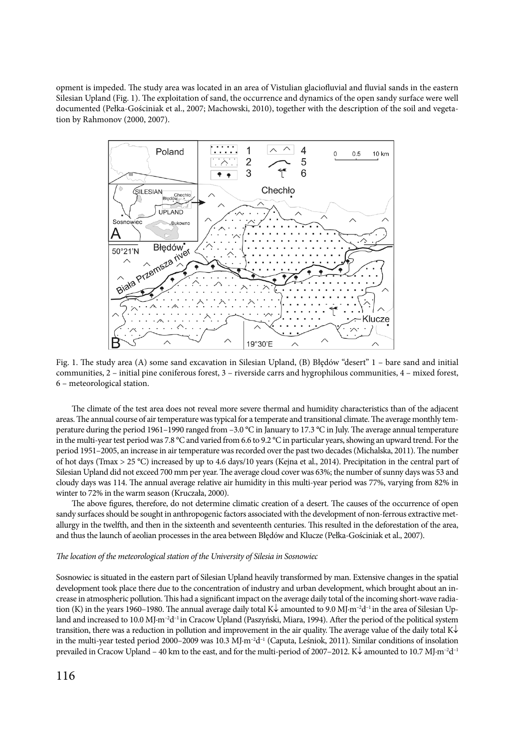opment is impeded. The study area was located in an area of Vistulian glaciofluvial and fluvial sands in the eastern Silesian Upland (Fig. 1). The exploitation of sand, the occurrence and dynamics of the open sandy surface were well documented (Pełka-Gościniak et al., 2007; Machowski, 2010), together with the description of the soil and vegetation by Rahmonov (2000, 2007).



Fig. 1. The study area (A) some sand excavation in Silesian Upland, (B) Błędów "desert" 1 – bare sand and initial communities, 2 – initial pine coniferous forest, 3 – riverside carrs and hygrophilous communities, 4 – mixed forest, 6 – meteorological station.

The climate of the test area does not reveal more severe thermal and humidity characteristics than of the adjacent areas. The annual course of air temperature was typical for a temperate and transitional climate. The average monthly temperature during the period 1961–1990 ranged from –3.0 °C in January to 17.3 °C in July. The average annual temperature in the multi-year test period was 7.8 °C and varied from 6.6 to 9.2 °C in particular years, showing an upward trend. For the period 1951–2005, an increase in air temperature was recorded over the past two decades (Michalska, 2011). The number of hot days (Tmax > 25 °C) increased by up to 4.6 days/10 years (Kejna et al., 2014). Precipitation in the central part of Silesian Upland did not exceed 700 mm per year. The average cloud cover was 63%; the number of sunny days was 53 and cloudy days was 114. The annual average relative air humidity in this multi-year period was 77%, varying from 82% in winter to 72% in the warm season (Kruczała, 2000).

The above figures, therefore, do not determine climatic creation of a desert. The causes of the occurrence of open sandy surfaces should be sought in anthropogenic factors associated with the development of non-ferrous extractive metallurgy in the twelfth, and then in the sixteenth and seventeenth centuries. This resulted in the deforestation of the area, and thus the launch of aeolian processes in the area between Błędów and Klucze (Pełka-Gościniak et al., 2007).

#### *The location of the meteorological station of the University of Silesia in Sosnowiec*

Sosnowiec is situated in the eastern part of Silesian Upland heavily transformed by man. Extensive changes in the spatial development took place there due to the concentration of industry and urban development, which brought about an increase in atmospheric pollution. This had a significant impact on the average daily total of the incoming short-wave radiation (K) in the years 1960–1980. The annual average daily total K↓ amounted to 9.0 MJ·m–2d–1 in the area of Silesian Upland and increased to 10.0 MJ·m<sup>-2</sup>d<sup>-1</sup> in Cracow Upland (Paszyński, Miara, 1994). After the period of the political system transition, there was a reduction in pollution and improvement in the air quality. The average value of the daily total K↓ in the multi-year tested period 2000–2009 was 10.3 MJ·m<sup>-2</sup>d<sup>-1</sup> (Caputa, Leśniok, 2011). Similar conditions of insolation prevailed in Cracow Upland – 40 km to the east, and for the multi-period of 2007–2012. K↓ amounted to 10.7 MJ·m<sup>-2</sup>d<sup>-1</sup>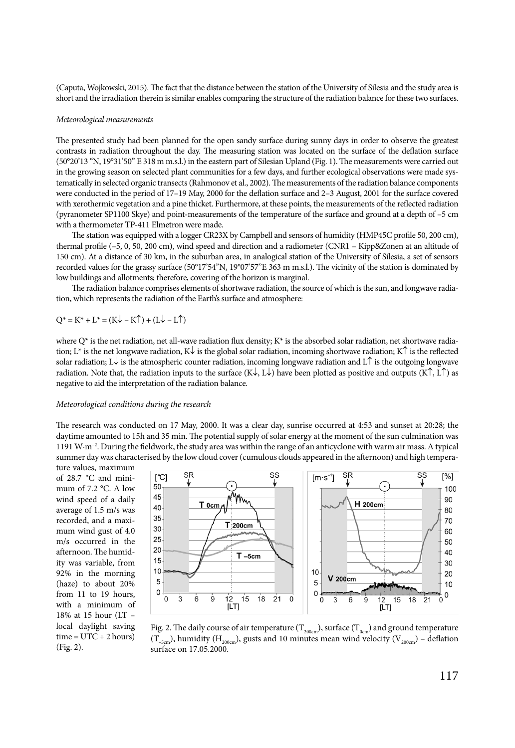(Caputa, Wojkowski, 2015). The fact that the distance between the station of the University of Silesia and the study area is short and the irradiation therein is similar enables comparing the structure of the radiation balance for these two surfaces.

#### *Meteorological measurements*

The presented study had been planned for the open sandy surface during sunny days in order to observe the greatest contrasts in radiation throughout the day. The measuring station was located on the surface of the deflation surface (50°20'13 "N, 19°31'50" E 318 m m.s.l.) in the eastern part of Silesian Upland (Fig. 1). The measurements were carried out in the growing season on selected plant communities for a few days, and further ecological observations were made systematically in selected organic transects (Rahmonov et al., 2002). The measurements of the radiation balance components were conducted in the period of 17–19 May, 2000 for the deflation surface and 2–3 August, 2001 for the surface covered with xerothermic vegetation and a pine thicket. Furthermore, at these points, the measurements of the reflected radiation (pyranometer SP1100 Skye) and point-measurements of the temperature of the surface and ground at a depth of –5 cm with a thermometer TP-411 Elmetron were made.

The station was equipped with a logger CR23X by Campbell and sensors of humidity (HMP45C profile 50, 200 cm), thermal profile (–5, 0, 50, 200 cm), wind speed and direction and a radiometer (CNR1 – Kipp&Zonen at an altitude of 150 cm). At a distance of 30 km, in the suburban area, in analogical station of the University of Silesia, a set of sensors recorded values for the grassy surface (50°17'54"N, 19°07'57"E 363 m m.s.l.). The vicinity of the station is dominated by low buildings and allotments; therefore, covering of the horizon is marginal.

The radiation balance comprises elements of shortwave radiation, the source of which is the sun, and longwave radiation, which represents the radiation of the Earth's surface and atmosphere:

 $Q^* = K^* + L^* = (K \downarrow - K \uparrow) + (L \downarrow - L \uparrow)$ 

where  $Q^*$  is the net radiation, net all-wave radiation flux density;  $K^*$  is the absorbed solar radiation, net shortwave radiation; L\* is the net longwave radiation, K↓ is the global solar radiation, incoming shortwave radiation; K↑ is the reflected solar radiation; L↓ is the atmospheric counter radiation, incoming longwave radiation and L↑ is the outgoing longwave radiation. Note that, the radiation inputs to the surface  $(K\downarrow, L\downarrow)$  have been plotted as positive and outputs  $(K\uparrow, L\uparrow)$  as negative to aid the interpretation of the radiation balance.

#### *Meteorological conditions during the research*

The research was conducted on 17 May, 2000. It was a clear day, sunrise occurred at 4:53 and sunset at 20:28; the daytime amounted to 15h and 35 min. The potential supply of solar energy at the moment of the sun culmination was 1191 W·m<sup>-2</sup>. During the fieldwork, the study area was within the range of an anticyclone with warm air mass. A typical summer day was characterised by the low cloud cover (cumulous clouds appeared in the afternoon) and high tempera-

ture values, maximum of 28.7 °C and minimum of 7.2 °C. A low wind speed of a daily average of 1.5 m/s was recorded, and a maximum wind gust of 4.0 m/s occurred in the afternoon. The humidity was variable, from 92% in the morning (haze) to about 20% from 11 to 19 hours, with a minimum of 18% at 15 hour (LT – local daylight saving  $time = UTC + 2 hours)$ (Fig. 2).



Fig. 2. The daily course of air temperature ( $T_{200cm}$ ), surface ( $T_{0cm}$ ) and ground temperature  $(T_{-5cm})$ , humidity (H<sub>200cm</sub>), gusts and 10 minutes mean wind velocity (V<sub>200cm</sub>) – deflation surface on 17.05.2000.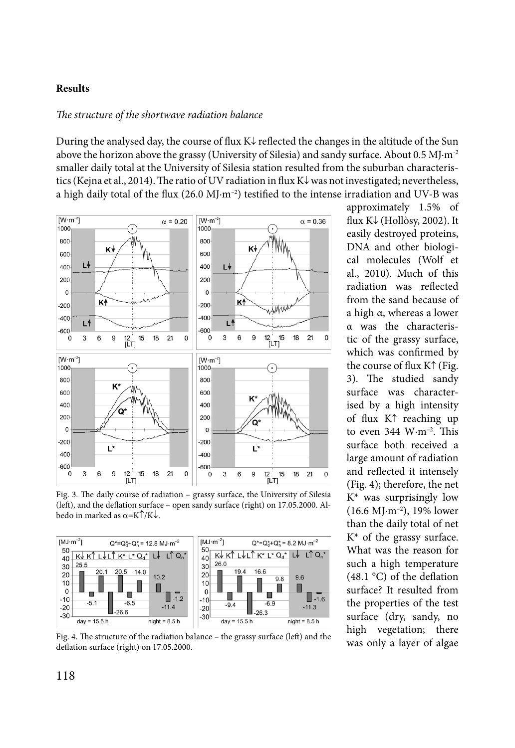# **Results**

# *The structure of the shortwave radiation balance*

During the analysed day, the course of flux  $K\downarrow$  reflected the changes in the altitude of the Sun above the horizon above the grassy (University of Silesia) and sandy surface. About  $0.5 M I·m<sup>-2</sup>$ smaller daily total at the University of Silesia station resulted from the suburban characteristics (Kejna et al., 2014). The ratio of UV radiation in flux K↓ was not investigated; nevertheless, a high daily total of the flux  $(26.0 \text{ M}) \cdot \text{m}^{-2}$ ) testified to the intense irradiation and UV-B was



Fig. 3. The daily course of radiation – grassy surface, the University of Silesia (left), and the deflation surface – open sandy surface (right) on 17.05.2000. Albedo in marked as  $\alpha = K \uparrow / K \downarrow$ .



Fig. 4. The structure of the radiation balance – the grassy surface (left) and the deflation surface (right) on 17.05.2000.

approximately 1.5% of flux K↓ (Hollòsy, 2002). It easily destroyed proteins, DNA and other biological molecules (Wolf et al., 2010). Much of this radiation was reflected from the sand because of a high α, whereas a lower α was the characteristic of the grassy surface, which was confirmed by the course of flux K↑ (Fig. 3). The studied sandy surface was characterised by a high intensity of flux K↑ reaching up to even  $344 \text{ W}\cdot\text{m}^{-2}$ . This surface both received a large amount of radiation and reflected it intensely (Fig. 4); therefore, the net  $K^*$  was surprisingly low (16.6 MJ·m–2), 19% lower than the daily total of net  $K^*$  of the grassy surface. What was the reason for such a high temperature (48.1 °C) of the deflation surface? It resulted from the properties of the test surface (dry, sandy, no high vegetation; there was only a layer of algae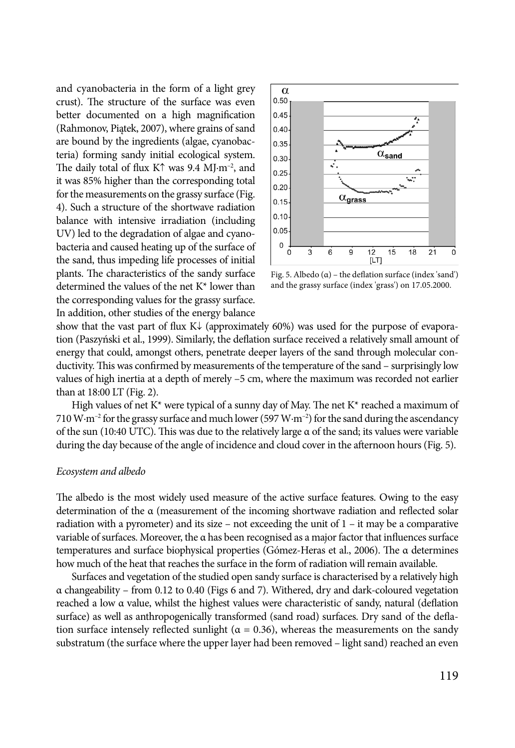and cyanobacteria in the form of a light grey crust). The structure of the surface was even better documented on a high magnification (Rahmonov, Piątek, 2007), where grains of sand are bound by the ingredients (algae, cyanobacteria) forming sandy initial ecological system. The daily total of flux K↑ was 9.4 MJ·m–2, and it was 85% higher than the corresponding total for the measurements on the grassy surface (Fig. 4). Such a structure of the shortwave radiation balance with intensive irradiation (including UV) led to the degradation of algae and cyanobacteria and caused heating up of the surface of the sand, thus impeding life processes of initial plants. The characteristics of the sandy surface determined the values of the net K\* lower than the corresponding values for the grassy surface. In addition, other studies of the energy balance



Fig. 5. Albedo  $(\alpha)$  – the deflation surface (index 'sand') and the grassy surface (index 'grass') on 17.05.2000.

show that the vast part of flux  $K\downarrow$  (approximately 60%) was used for the purpose of evaporation (Paszyński et al., 1999). Similarly, the deflation surface received a relatively small amount of energy that could, amongst others, penetrate deeper layers of the sand through molecular conductivity. This was confirmed by measurements of the temperature of the sand – surprisingly low values of high inertia at a depth of merely –5 cm, where the maximum was recorded not earlier than at 18:00 LT (Fig. 2).

High values of net  $K^*$  were typical of a sunny day of May. The net  $K^*$  reached a maximum of 710 W·m<sup>-2</sup> for the grassy surface and much lower (597 W·m<sup>-2</sup>) for the sand during the ascendancy of the sun (10:40 UTC). This was due to the relatively large  $\alpha$  of the sand; its values were variable during the day because of the angle of incidence and cloud cover in the afternoon hours (Fig. 5).

#### *Ecosystem and albedo*

The albedo is the most widely used measure of the active surface features. Owing to the easy determination of the α (measurement of the incoming shortwave radiation and reflected solar radiation with a pyrometer) and its size – not exceeding the unit of  $1 -$  it may be a comparative variable of surfaces. Moreover, the α has been recognised as a major factor that influences surface temperatures and surface biophysical properties (Gómez-Heras et al., 2006). The α determines how much of the heat that reaches the surface in the form of radiation will remain available.

Surfaces and vegetation of the studied open sandy surface is characterised by a relatively high α changeability – from 0.12 to 0.40 (Figs 6 and 7). Withered, dry and dark-coloured vegetation reached a low α value, whilst the highest values were characteristic of sandy, natural (deflation surface) as well as anthropogenically transformed (sand road) surfaces. Dry sand of the deflation surface intensely reflected sunlight ( $\alpha = 0.36$ ), whereas the measurements on the sandy substratum (the surface where the upper layer had been removed – light sand) reached an even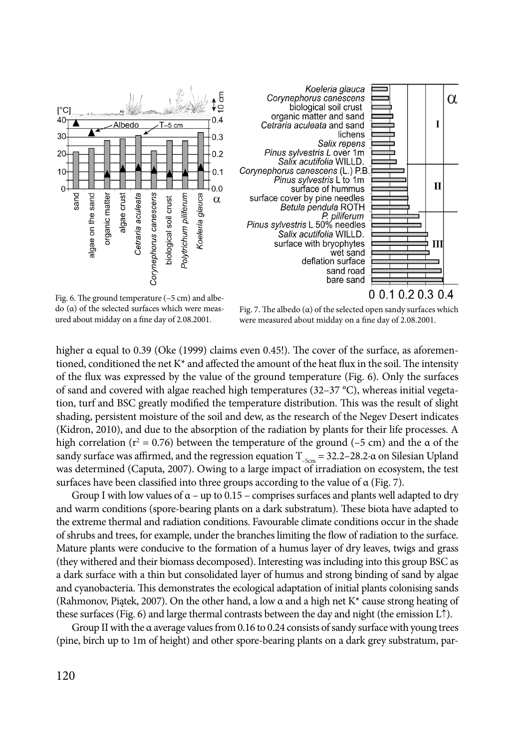

Fig. 6. The ground temperature (–5 cm) and albedo (α) of the selected surfaces which were measured about midday on a fine day of 2.08.2001.

Fig. 7. The albedo  $(\alpha)$  of the selected open sandy surfaces which were measured about midday on a fine day of 2.08.2001.

higher α equal to 0.39 (Oke (1999) claims even 0.45!). The cover of the surface, as aforementioned, conditioned the net  $K^*$  and affected the amount of the heat flux in the soil. The intensity of the flux was expressed by the value of the ground temperature (Fig. 6). Only the surfaces of sand and covered with algae reached high temperatures (32–37 °C), whereas initial vegetation, turf and BSC greatly modified the temperature distribution. This was the result of slight shading, persistent moisture of the soil and dew, as the research of the Negev Desert indicates (Kidron, 2010), and due to the absorption of the radiation by plants for their life processes. A high correlation ( $r^2 = 0.76$ ) between the temperature of the ground (-5 cm) and the  $\alpha$  of the sandy surface was affirmed, and the regression equation  $T_{-5cm} = 32.2-28.2 \cdot \alpha$  on Silesian Upland was determined (Caputa, 2007). Owing to a large impact of irradiation on ecosystem, the test surfaces have been classified into three groups according to the value of α (Fig. 7).

Group I with low values of  $\alpha$  – up to 0.15 – comprises surfaces and plants well adapted to dry and warm conditions (spore-bearing plants on a dark substratum). These biota have adapted to the extreme thermal and radiation conditions. Favourable climate conditions occur in the shade of shrubs and trees, for example, under the branches limiting the flow of radiation to the surface. Mature plants were conducive to the formation of a humus layer of dry leaves, twigs and grass (they withered and their biomass decomposed). Interesting was including into this group BSC as a dark surface with a thin but consolidated layer of humus and strong binding of sand by algae and cyanobacteria. This demonstrates the ecological adaptation of initial plants colonising sands (Rahmonov, Piątek, 2007). On the other hand, a low  $\alpha$  and a high net K<sup>\*</sup> cause strong heating of these surfaces (Fig. 6) and large thermal contrasts between the day and night (the emission L↑).

Group II with the α average values from 0.16 to 0.24 consists of sandy surface with young trees (pine, birch up to 1m of height) and other spore-bearing plants on a dark grey substratum, par-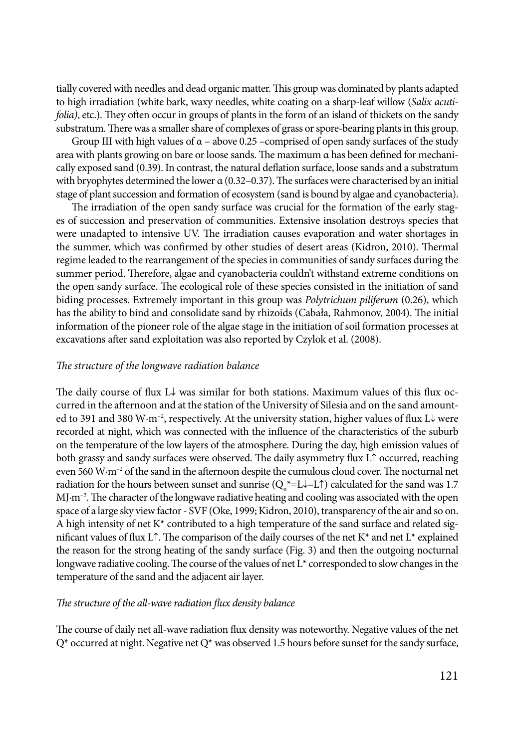tially covered with needles and dead organic matter. This group was dominated by plants adapted to high irradiation (white bark, waxy needles, white coating on a sharp-leaf willow (*Salix acutifolia)*, etc.). They often occur in groups of plants in the form of an island of thickets on the sandy substratum. There was a smaller share of complexes of grass or spore-bearing plants in this group.

Group III with high values of  $\alpha$  – above 0.25 –comprised of open sandy surfaces of the study area with plants growing on bare or loose sands. The maximum  $\alpha$  has been defined for mechanically exposed sand (0.39). In contrast, the natural deflation surface, loose sands and a substratum with bryophytes determined the lower α (0.32–0.37). The surfaces were characterised by an initial stage of plant succession and formation of ecosystem (sand is bound by algae and cyanobacteria).

The irradiation of the open sandy surface was crucial for the formation of the early stages of succession and preservation of communities. Extensive insolation destroys species that were unadapted to intensive UV. The irradiation causes evaporation and water shortages in the summer, which was confirmed by other studies of desert areas (Kidron, 2010). Thermal regime leaded to the rearrangement of the species in communities of sandy surfaces during the summer period. Therefore, algae and cyanobacteria couldn't withstand extreme conditions on the open sandy surface. The ecological role of these species consisted in the initiation of sand biding processes. Extremely important in this group was *Polytrichum piliferum* (0.26), which has the ability to bind and consolidate sand by rhizoids (Cabała, Rahmonov, 2004). The initial information of the pioneer role of the algae stage in the initiation of soil formation processes at excavations after sand exploitation was also reported by Czylok et al. (2008).

## *The structure of the longwave radiation balance*

The daily course of flux L↓ was similar for both stations. Maximum values of this flux occurred in the afternoon and at the station of the University of Silesia and on the sand amounted to 391 and 380 W·m<sup>-2</sup>, respectively. At the university station, higher values of flux L↓ were recorded at night, which was connected with the influence of the characteristics of the suburb on the temperature of the low layers of the atmosphere. During the day, high emission values of both grassy and sandy surfaces were observed. The daily asymmetry flux L↑ occurred, reaching even 560 W·m<sup>-2</sup> of the sand in the afternoon despite the cumulous cloud cover. The nocturnal net radiation for the hours between sunset and sunrise ( $Q_n^*$ =L↓–L↑) calculated for the sand was 1.7 MJ·m<sup>-2</sup>. The character of the longwave radiative heating and cooling was associated with the open space of a large sky view factor - SVF (Oke, 1999; Kidron, 2010), transparency of the air and so on. A high intensity of net  $K^*$  contributed to a high temperature of the sand surface and related significant values of flux L↑. The comparison of the daily courses of the net K\* and net L\* explained the reason for the strong heating of the sandy surface (Fig. 3) and then the outgoing nocturnal longwave radiative cooling. The course of the values of net L\* corresponded to slow changes in the temperature of the sand and the adjacent air layer.

## *The structure of the all-wave radiation flux density balance*

The course of daily net all-wave radiation flux density was noteworthy. Negative values of the net  $Q^*$  occurred at night. Negative net  $Q^*$  was observed 1.5 hours before sunset for the sandy surface,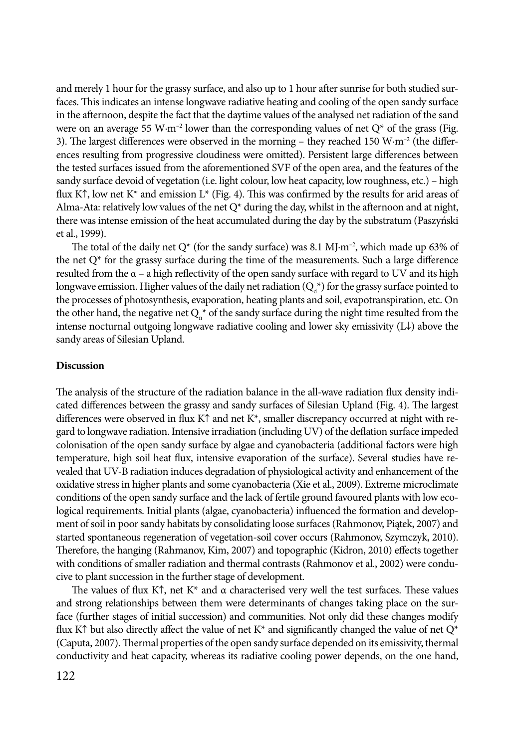and merely 1 hour for the grassy surface, and also up to 1 hour after sunrise for both studied surfaces. This indicates an intense longwave radiative heating and cooling of the open sandy surface in the afternoon, despite the fact that the daytime values of the analysed net radiation of the sand were on an average 55 W·m<sup>-2</sup> lower than the corresponding values of net  $Q^*$  of the grass (Fig. 3). The largest differences were observed in the morning – they reached 150  $W \cdot m^{-2}$  (the differences resulting from progressive cloudiness were omitted). Persistent large differences between the tested surfaces issued from the aforementioned SVF of the open area, and the features of the sandy surface devoid of vegetation (i.e. light colour, low heat capacity, low roughness, etc.) – high flux K↑, low net K<sup>\*</sup> and emission L<sup>\*</sup> (Fig. 4). This was confirmed by the results for arid areas of Alma-Ata: relatively low values of the net  $Q^*$  during the day, whilst in the afternoon and at night, there was intense emission of the heat accumulated during the day by the substratum (Paszyński et al., 1999).

The total of the daily net  $Q^*$  (for the sandy surface) was 8.1 MJ·m<sup>-2</sup>, which made up 63% of the net  $Q^*$  for the grassy surface during the time of the measurements. Such a large difference resulted from the  $\alpha$  – a high reflectivity of the open sandy surface with regard to UV and its high longwave emission. Higher values of the daily net radiation ( $\mathrm{Q}_\text{d}^*$ ) for the grassy surface pointed to the processes of photosynthesis, evaporation, heating plants and soil, evapotranspiration, etc. On the other hand, the negative net  $Q_n^*$  of the sandy surface during the night time resulted from the intense nocturnal outgoing longwave radiative cooling and lower sky emissivity (L↓) above the sandy areas of Silesian Upland.

# **Discussion**

The analysis of the structure of the radiation balance in the all-wave radiation flux density indicated differences between the grassy and sandy surfaces of Silesian Upland (Fig. 4). The largest differences were observed in flux K↑ and net K\*, smaller discrepancy occurred at night with regard to longwave radiation. Intensive irradiation (including UV) of the deflation surface impeded colonisation of the open sandy surface by algae and cyanobacteria (additional factors were high temperature, high soil heat flux, intensive evaporation of the surface). Several studies have revealed that UV-B radiation induces degradation of physiological activity and enhancement of the oxidative stress in higher plants and some cyanobacteria (Xie et al., 2009). Extreme microclimate conditions of the open sandy surface and the lack of fertile ground favoured plants with low ecological requirements. Initial plants (algae, cyanobacteria) influenced the formation and development of soil in poor sandy habitats by consolidating loose surfaces (Rahmonov, Piątek, 2007) and started spontaneous regeneration of vegetation-soil cover occurs (Rahmonov, Szymczyk, 2010). Therefore, the hanging (Rahmanov, Kim, 2007) and topographic (Kidron, 2010) effects together with conditions of smaller radiation and thermal contrasts (Rahmonov et al., 2002) were conducive to plant succession in the further stage of development.

The values of flux K↑, net K<sup>\*</sup> and  $\alpha$  characterised very well the test surfaces. These values and strong relationships between them were determinants of changes taking place on the surface (further stages of initial succession) and communities. Not only did these changes modify flux K↑ but also directly affect the value of net K<sup>\*</sup> and significantly changed the value of net Q<sup>\*</sup> (Caputa, 2007). Thermal properties of the open sandy surface depended on its emissivity, thermal conductivity and heat capacity, whereas its radiative cooling power depends, on the one hand,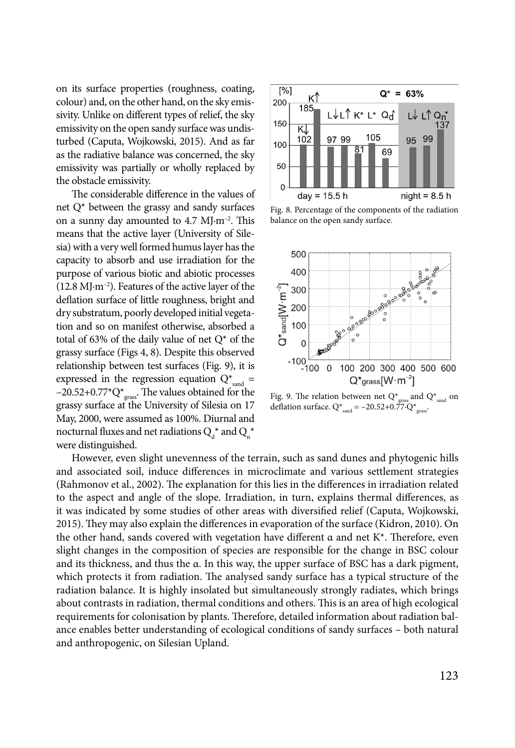on its surface properties (roughness, coating, colour) and, on the other hand, on the sky emissivity. Unlike on different types of relief, the sky emissivity on the open sandy surface was undisturbed (Caputa, Wojkowski, 2015). And as far as the radiative balance was concerned, the sky emissivity was partially or wholly replaced by the obstacle emissivity.

The considerable difference in the values of net Q\* between the grassy and sandy surfaces on a sunny day amounted to 4.7 MJ·m–2. This means that the active layer (University of Silesia) with a very well formed humus layer has the capacity to absorb and use irradiation for the purpose of various biotic and abiotic processes  $(12.8 \text{ M} \cdot \text{m}^{-2})$ . Features of the active layer of the deflation surface of little roughness, bright and dry substratum, poorly developed initial vegetation and so on manifest otherwise, absorbed a total of 63% of the daily value of net  $Q^*$  of the grassy surface (Figs 4, 8). Despite this observed relationship between test surfaces (Fig. 9), it is expressed in the regression equation  $Q^*_{\text{sand}} =$  $-20.52+0.77$ <sup>\*</sup>Q<sup>\*</sup><sub>grass</sub>. The values obtained for the grassy surface at the University of Silesia on 17 May, 2000, were assumed as 100%. Diurnal and nocturnal fluxes and net radiations  $Q_d^*$  and  $Q_n^*$ were distinguished.



Fig. 8. Percentage of the components of the radiation balance on the open sandy surface.



Fig. 9. The relation between net Q\* $_{\text{cross}}$  and Q\* $_{\text{sand}}$  on deflation surface.  $Q^*_{\text{rand}} = -20.52+0.77 \cdot Q^*_{\text{grass}}$ .

However, even slight unevenness of the terrain, such as sand dunes and phytogenic hills and associated soil, induce differences in microclimate and various settlement strategies (Rahmonov et al., 2002). The explanation for this lies in the differences in irradiation related to the aspect and angle of the slope. Irradiation, in turn, explains thermal differences, as it was indicated by some studies of other areas with diversified relief (Caputa, Wojkowski, 2015). They may also explain the differences in evaporation of the surface (Kidron, 2010). On the other hand, sands covered with vegetation have different α and net K<sup>\*</sup>. Therefore, even slight changes in the composition of species are responsible for the change in BSC colour and its thickness, and thus the α. In this way, the upper surface of BSC has a dark pigment, which protects it from radiation. The analysed sandy surface has a typical structure of the radiation balance. It is highly insolated but simultaneously strongly radiates, which brings about contrasts in radiation, thermal conditions and others. This is an area of high ecological requirements for colonisation by plants. Therefore, detailed information about radiation balance enables better understanding of ecological conditions of sandy surfaces – both natural and anthropogenic, on Silesian Upland.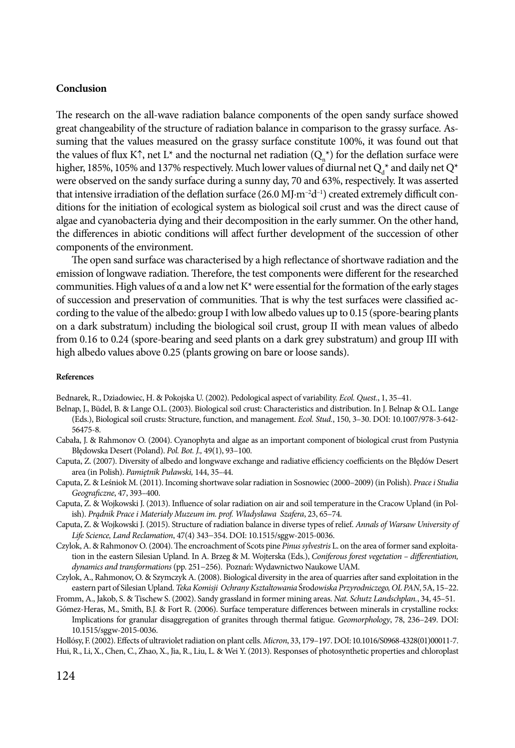# **Conclusion**

The research on the all-wave radiation balance components of the open sandy surface showed great changeability of the structure of radiation balance in comparison to the grassy surface. Assuming that the values measured on the grassy surface constitute 100%, it was found out that the values of flux K↑, net L<sup>\*</sup> and the nocturnal net radiation  $(Q_n^*)$  for the deflation surface were higher, 185%, 105% and 137% respectively. Much lower values of diurnal net  $Q^*$  and daily net  $Q^*$ were observed on the sandy surface during a sunny day, 70 and 63%, respectively. It was asserted that intensive irradiation of the deflation surface  $(26.0 \text{ M} \cdot \text{m}^{-2}\text{d}^{-1})$  created extremely difficult conditions for the initiation of ecological system as biological soil crust and was the direct cause of algae and cyanobacteria dying and their decomposition in the early summer. On the other hand, the differences in abiotic conditions will affect further development of the succession of other components of the environment.

The open sand surface was characterised by a high reflectance of shortwave radiation and the emission of longwave radiation. Therefore, the test components were different for the researched communities. High values of  $\alpha$  and a low net K<sup>\*</sup> were essential for the formation of the early stages of succession and preservation of communities. That is why the test surfaces were classified according to the value of the albedo: group I with low albedo values up to 0.15 (spore-bearing plants on a dark substratum) including the biological soil crust, group II with mean values of albedo from 0.16 to 0.24 (spore-bearing and seed plants on a dark grey substratum) and group III with high albedo values above 0.25 (plants growing on bare or loose sands).

#### **References**

Bednarek, R., Dziadowiec, Н. & Pokojska U. (2002). Pedological aspect of variability. *Ecol. Quest.*, 1, 35–41.

- Belnap, J., Büdel, B. & Lange O.L. (2003). Biological soil crust: Characteristics and distribution. In J. Belnap & O.L. Lange (Eds.), Biological soil crusts: Structure, function, and management. *Ecol. Stud.*, 150, 3–30. [DOI: 10.1007/978-3-642-](http://dx.doi.org/10.1007/978-3-642-56475-8) [56475-8.](http://dx.doi.org/10.1007/978-3-642-56475-8)
- Cabała, J. & Rahmonov O. (2004). Cyanophyta and algae as an important component of biological crust from Pustynia Błędowska Desert (Poland). *Pol. Bot. J.,* 49(1), 93–100.
- Caputa, Z. (2007). Diversity of albedo and longwave exchange and radiative efficiency coefficients on the Błędów Desert area (in Polish). *Pamiętnik Puławski,* 144, 35–44.
- Caputa, Z. & Leśniok M. (2011). Incoming shortwave solar radiation in Sosnowiec (2000–2009) (in Polish). *Prace i Studia Geograficzne*, 47, 393–400.
- Caputa, Z. & Wojkowski J. (2013). Influence of solar radiation on air and soil temperature in the Cracow Upland (in Polish). *Prądnik Prace i Materiały Muzeum im. prof. Władysława Szafera*, 23, 65–74.
- Caputa, Z. & Wojkowski J. (2015). Structure of radiation balance in diverse types of relief. *Annals of Warsaw University of Life Science, Land Reclamation*, 47(4) 343−354. [DOI: 10.1515/sggw-2015-0036.](http://dx.doi.org/10.1515/sggw-2015-0036)
- Czylok, A. & Rahmonov O. (2004). The encroachment of Scots pine *Pinus sylvestris* L. on the area of former sand exploitation in the eastern Silesian Upland. In A. Brzeg & M. Wojterska (Eds.), *Coniferous forest vegetation – differentiation, dynamics and transformations* (pp. 251−256). Poznań: Wydawnictwo Naukowe UAM.
- Czylok, A., Rahmonov, O. & Szymczyk A. (2008). Biological diversity in the area of quarries after sand exploitation in the eastern part of Silesian Upland. *Teka Komisji Ochrany Ksztaltowania* Środ*owiska Przyrodniczego, OL PAN*, 5A, 15–22.
- Fromm, A., Jakob, S. & Tischew S. (2002). Sandy grassland in former mining areas. *Nat. Schutz Landschplan.*, 34, 45–51.
- Gómez-Heras, M., Smith, B.J. & Fort R. (2006). Surface temperature differences between minerals in crystalline rocks: Implications for granular disaggregation of granites through thermal fatigue. *Geomorphology*, 78, 236–249. [DOI:](http://dx.doi.org/10.1515/sggw-2015-0036)  [10.1515/sggw-2015-0036.](http://dx.doi.org/10.1515/sggw-2015-0036)

Hollósy, F. (2002). Effects of ultraviolet radiation on plant cells. *Micron*, 33, 179-197. DOI: 10.1016/S0968-4328(01)00011-7. Hui, R., Li, X., Chen, C., Zhao, X., Jia, R., Liu, L. & Wei Y. (2013). Responses of photosynthetic properties and chloroplast